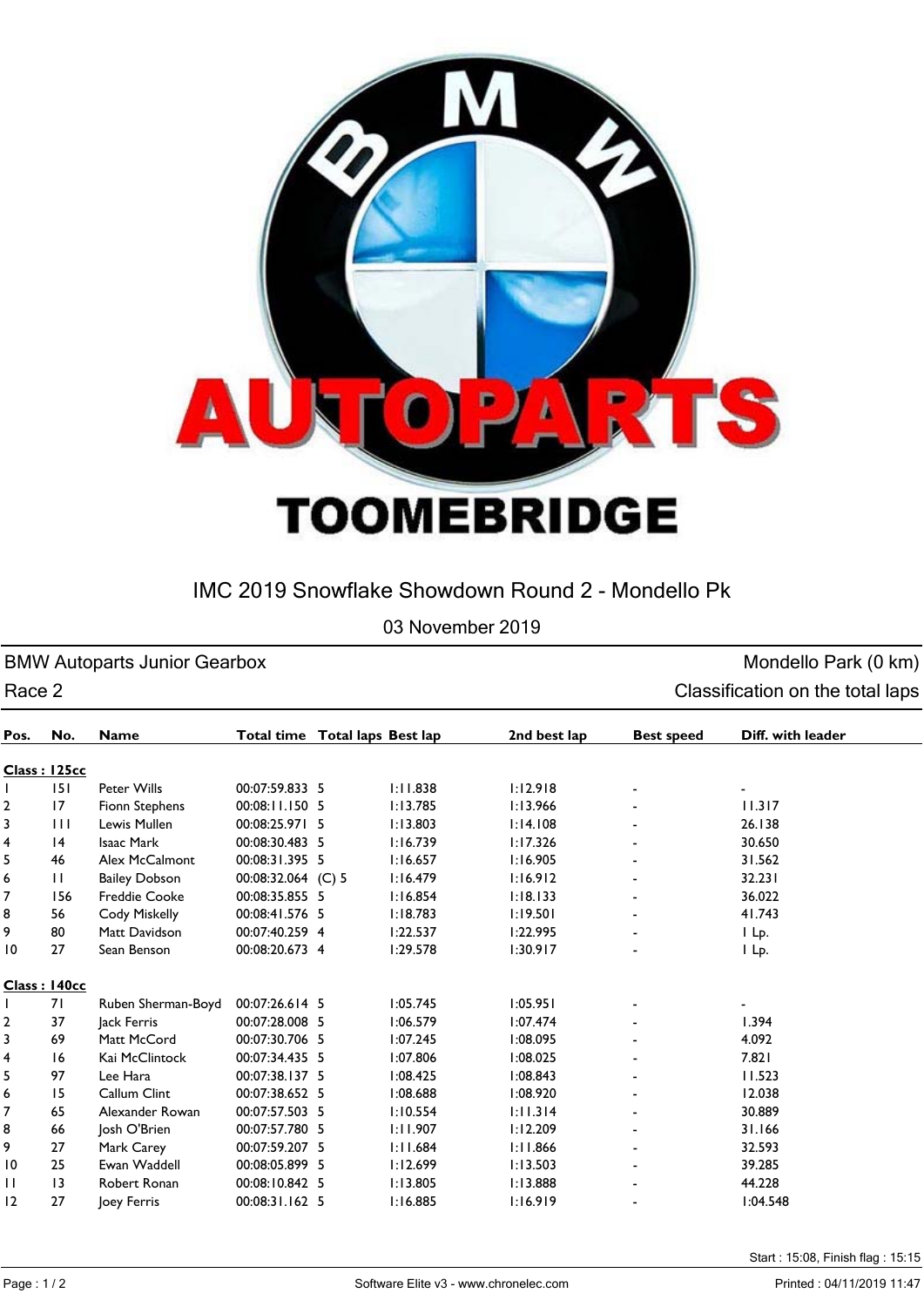

## IMC 2019 Snowflake Showdown Round 2 - Mondello Pk

03 November 2019

## BMW Autoparts Junior Gearbox **Mondello Park (0 km)** and the Mondello Park (0 km)

| _<br>Race 2<br>Classification on the total laps |              |                      |                                |  |          |              |                   |                   |
|-------------------------------------------------|--------------|----------------------|--------------------------------|--|----------|--------------|-------------------|-------------------|
| Pos.                                            | No.          | <b>Name</b>          | Total time Total laps Best lap |  |          | 2nd best lap | <b>Best speed</b> | Diff. with leader |
|                                                 | Class: 125cc |                      |                                |  |          |              |                   |                   |
|                                                 | 151          | Peter Wills          | 00:07:59.833 5                 |  | 1:11.838 | 1:12.918     | ۰.                | ۰.                |
| 2                                               | 17           | Fionn Stephens       | 00:08:11.150 5                 |  | 1:13.785 | 1:13.966     | ۰.                | 11.317            |
| 3                                               | $\mathbf{H}$ | Lewis Mullen         | 00:08:25.971 5                 |  | 1:13.803 | 1:14.108     | ۰                 | 26.138            |
| 4                                               | 4            | Isaac Mark           | 00:08:30.483 5                 |  | 1:16.739 | 1:17.326     | ۰                 | 30.650            |
| 5                                               | 46           | Alex McCalmont       | 00:08:31.395 5                 |  | 1:16.657 | 1:16.905     |                   | 31.562            |
| 6                                               | $\mathbf{H}$ | <b>Bailey Dobson</b> | $00:08:32.064$ (C) 5           |  | 1:16.479 | 1:16.912     |                   | 32.231            |
| 7                                               | 156          | <b>Freddie Cooke</b> | 00:08:35.855 5                 |  | 1:16.854 | 1:18.133     |                   | 36.022            |
| 8                                               | 56           | Cody Miskelly        | 00:08:41.576 5                 |  | 1:18.783 | 1:19.501     |                   | 41.743            |
| 9                                               | 80           | Matt Davidson        | 00:07:40.259 4                 |  | 1:22.537 | I:22.995     | ٠                 | I Lp.             |
| $\overline{10}$                                 | 27           | Sean Benson          | 00:08:20.673 4                 |  | l:29.578 | 1:30.917     | ۰                 | I Lp.             |
|                                                 | Class: 140cc |                      |                                |  |          |              |                   |                   |

|    | 71 | Ruben Sherman-Boyd | 00:07:26.614 5 | 1:05.745 | 1:05.951 |          |
|----|----|--------------------|----------------|----------|----------|----------|
|    | 37 | lack Ferris        | 00:07:28.008 5 | 1:06.579 | 1:07.474 | 1.394    |
| 3  | 69 | Matt McCord        | 00:07:30.706 5 | 1:07.245 | 1:08.095 | 4.092    |
| 4  | 16 | Kai McClintock     | 00:07:34.435 5 | 1:07.806 | 1:08.025 | 7.821    |
| 5  | 97 | Lee Hara           | 00:07:38.137 5 | 1:08.425 | 1:08.843 | 11.523   |
| 6  | 15 | Callum Clint       | 00:07:38.652 5 | 1:08.688 | 1:08.920 | 12.038   |
|    | 65 | Alexander Rowan    | 00:07:57.503 5 | 1:10.554 | 1:11.314 | 30.889   |
| 8  | 66 | Josh O'Brien       | 00:07:57.780 5 | 1:11.907 | 1:12.209 | 31.166   |
| 9  | 27 | Mark Carey         | 00:07:59.207 5 | 1:11.684 | 1:11.866 | 32.593   |
| 10 | 25 | Ewan Waddell       | 00:08:05.899 5 | 1:12.699 | 1:13.503 | 39.285   |
| П  | 13 | Robert Ronan       | 00:08:10.842 5 | 1:13.805 | 1:13.888 | 44.228   |
| 12 | 27 | Joey Ferris        | 00:08:31.162 5 | 1:16.885 | 1:16.919 | 1:04.548 |